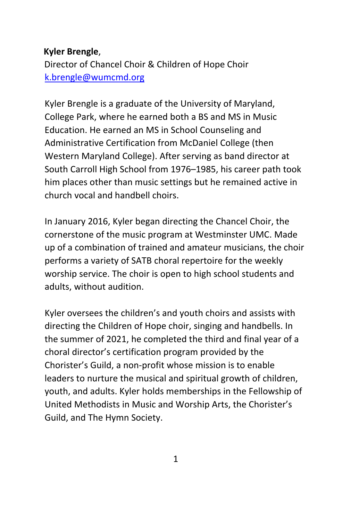## **Kyler Brengle**,

Director of Chancel Choir & Children of Hope Choir k.brengle@wumcmd.org

Kyler Brengle is a graduate of the University of Maryland, College Park, where he earned both a BS and MS in Music Education. He earned an MS in School Counseling and Administrative Certification from McDaniel College (then Western Maryland College). After serving as band director at South Carroll High School from 1976–1985, his career path took him places other than music settings but he remained active in church vocal and handbell choirs.

In January 2016, Kyler began directing the Chancel Choir, the cornerstone of the music program at Westminster UMC. Made up of a combination of trained and amateur musicians, the choir performs a variety of SATB choral repertoire for the weekly worship service. The choir is open to high school students and adults, without audition.

Kyler oversees the children's and youth choirs and assists with directing the Children of Hope choir, singing and handbells. In the summer of 2021, he completed the third and final year of a choral director's certification program provided by the Chorister's Guild, a non‐profit whose mission is to enable leaders to nurture the musical and spiritual growth of children, youth, and adults. Kyler holds memberships in the Fellowship of United Methodists in Music and Worship Arts, the Chorister's Guild, and The Hymn Society.